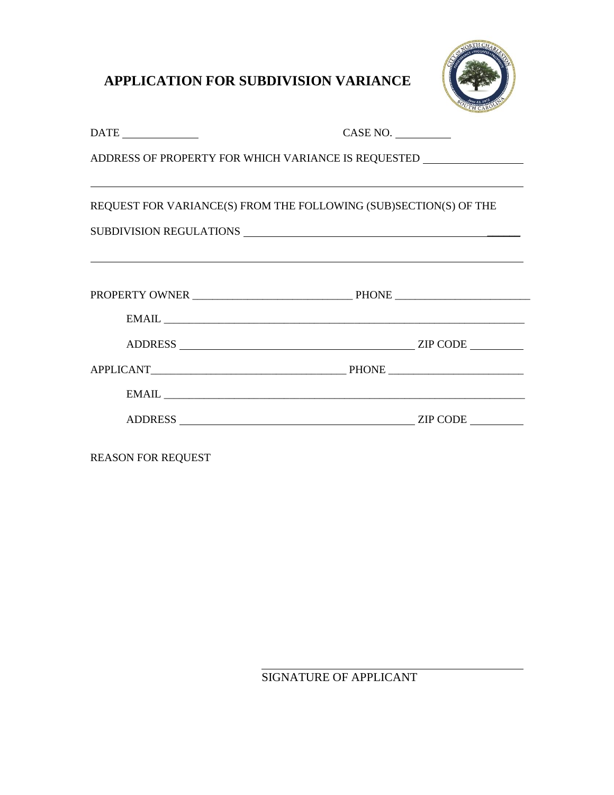## **APPLICATION FOR SUBDIVISION VARIANCE**



| $\begin{tabular}{c} \bf{DATE} \end{tabular}$                                      | CASE NO. |  |  |  |
|-----------------------------------------------------------------------------------|----------|--|--|--|
| ADDRESS OF PROPERTY FOR WHICH VARIANCE IS REQUESTED _____________________________ |          |  |  |  |
| REQUEST FOR VARIANCE(S) FROM THE FOLLOWING (SUB)SECTION(S) OF THE                 |          |  |  |  |
|                                                                                   |          |  |  |  |
|                                                                                   |          |  |  |  |
|                                                                                   |          |  |  |  |
|                                                                                   |          |  |  |  |
|                                                                                   |          |  |  |  |
|                                                                                   |          |  |  |  |
|                                                                                   |          |  |  |  |
|                                                                                   |          |  |  |  |

REASON FOR REQUEST

SIGNATURE OF APPLICANT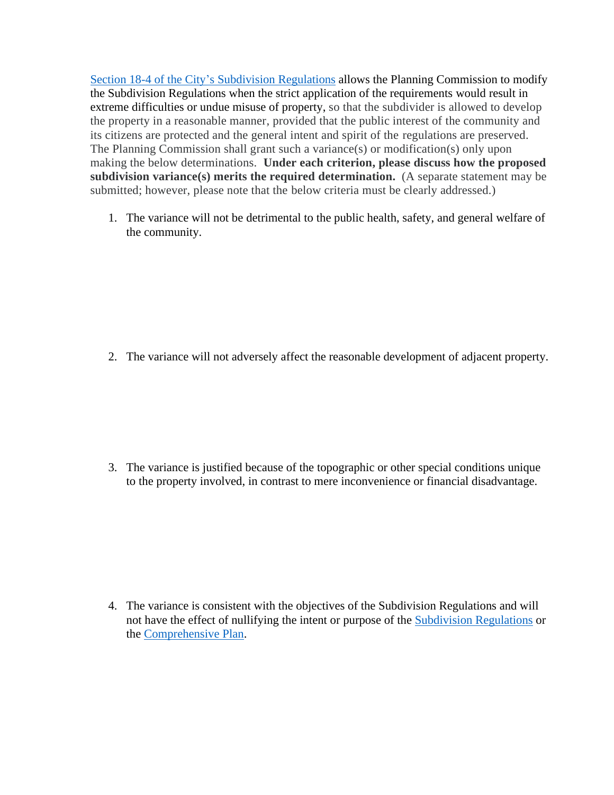[Section 18-4 of the City's Subdivision Regulations](https://library.municode.com/sc/north_charleston/codes/code_of_ordinances?nodeId=COOR_CH18SURE_ARTIINGE_S18-4VA) allows the Planning Commission to modify the Subdivision Regulations when the strict application of the requirements would result in extreme difficulties or undue misuse of property, so that the subdivider is allowed to develop the property in a reasonable manner, provided that the public interest of the community and its citizens are protected and the general intent and spirit of the regulations are preserved. The Planning Commission shall grant such a variance(s) or modification(s) only upon making the below determinations. **Under each criterion, please discuss how the proposed subdivision variance(s) merits the required determination.** (A separate statement may be submitted; however, please note that the below criteria must be clearly addressed.)

1. The variance will not be detrimental to the public health, safety, and general welfare of the community.

2. The variance will not adversely affect the reasonable development of adjacent property.

3. The variance is justified because of the topographic or other special conditions unique to the property involved, in contrast to mere inconvenience or financial disadvantage.

4. The variance is consistent with the objectives of the Subdivision Regulations and will not have the effect of nullifying the intent or purpose of the [Subdivision Regulations](https://library.municode.com/sc/north_charleston/codes/code_of_ordinances?nodeId=COOR_CH18SURE) or the [Comprehensive Plan.](https://www.northcharleston.org/business/construction-and-development/zoning-information-and-verification/comprehensive-plan/)